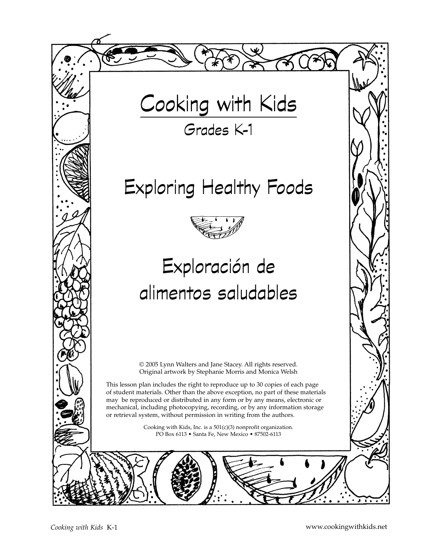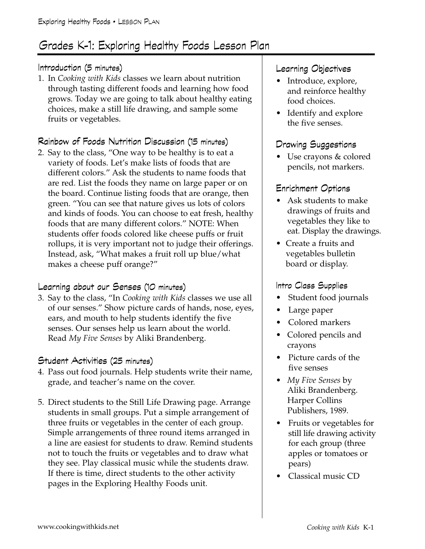### Grades K-1: Exploring Healthy Foods Lesson Plan

#### Introduction (5 minutes)

1. In *Cooking with Kids* classes we learn about nutrition through tasting different foods and learning how food grows. Today we are going to talk about healthy eating choices, make a still life drawing, and sample some fruits or vegetables.

#### Rainbow of Foods Nutrition Discussion (15 minutes)

2. Say to the class, "One way to be healthy is to eat a variety of foods. Let's make lists of foods that are different colors." Ask the students to name foods that are red. List the foods they name on large paper or on the board. Continue listing foods that are orange, then green. "You can see that nature gives us lots of colors and kinds of foods. You can choose to eat fresh, healthy foods that are many different colors." NOTE: When students offer foods colored like cheese puffs or fruit rollups, it is very important not to judge their offerings. Instead, ask, "What makes a fruit roll up blue/what makes a cheese puff orange?"

#### Learning about our Senses (10 minutes)

3. Say to the class, "In *Cooking with Kids* classes we use all of our senses." Show picture cards of hands, nose, eyes, ears, and mouth to help students identify the five senses. Our senses help us learn about the world. Read *My Five Senses* by Aliki Brandenberg.

#### Student Activities (25 minutes)

- 4. Pass out food journals. Help students write their name, grade, and teacher's name on the cover.
- 5. Direct students to the Still Life Drawing page. Arrange students in small groups. Put a simple arrangement of three fruits or vegetables in the center of each group. Simple arrangements of three round items arranged in a line are easiest for students to draw. Remind students not to touch the fruits or vegetables and to draw what they see. Play classical music while the students draw. If there is time, direct students to the other activity pages in the Exploring Healthy Foods unit.

#### Learning Objectives

- Introduce, explore, and reinforce healthy food choices.
- Identify and explore the five senses.

#### Drawing Suggestions

• Use crayons & colored pencils, not markers.

#### Enrichment Options

- Ask students to make drawings of fruits and vegetables they like to eat. Display the drawings.
- Create a fruits and vegetables bulletin board or display.

#### Intro Class Supplies

- Student food journals
- Large paper
- Colored markers
- Colored pencils and crayons
- Picture cards of the five senses
- *My Five Senses* by Aliki Brandenberg. Harper Collins Publishers, 1989.
- Fruits or vegetables for still life drawing activity for each group (three apples or tomatoes or pears)
- Classical music CD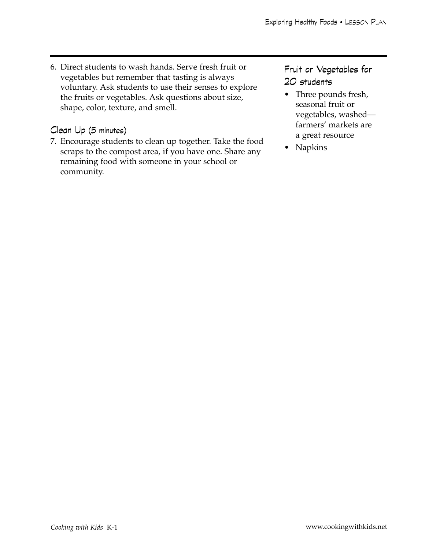6. Direct students to wash hands. Serve fresh fruit or vegetables but remember that tasting is always voluntary. Ask students to use their senses to explore the fruits or vegetables. Ask questions about size, shape, color, texture, and smell.

#### Clean Up (5 minutes)

7. Encourage students to clean up together. Take the food scraps to the compost area, if you have one. Share any remaining food with someone in your school or community.

Fruit or Vegetables for 20 students

- Three pounds fresh, seasonal fruit or vegetables, washed farmers' markets are a great resource
- Napkins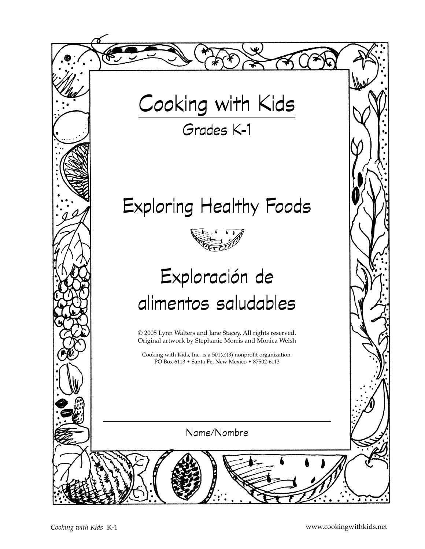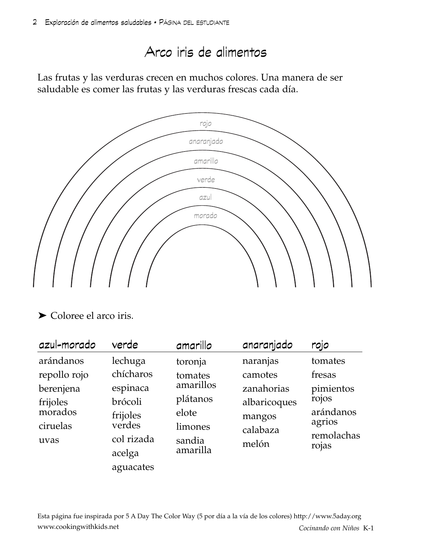## Arco iris de alimentos

Las frutas y las verduras crecen en muchos colores. Una manera de ser saludable es comer las frutas y las verduras frescas cada día.



### ➤ Coloree el arco iris.

| azul-morado                                          | verde                                                             | amarillo                                                                                                                     | anaranjado          | rojo                                                             |
|------------------------------------------------------|-------------------------------------------------------------------|------------------------------------------------------------------------------------------------------------------------------|---------------------|------------------------------------------------------------------|
| arándanos<br>repollo rojo                            | lechuga<br>chícharos                                              | toronja<br>tomates                                                                                                           | naranjas<br>camotes | tomates<br>fresas                                                |
| berenjena<br>frijoles<br>morados<br>ciruelas<br>uvas | espinaca<br>brócoli<br>frijoles<br>verdes<br>col rizada<br>acelga | amarillos<br>zanahorias<br>plátanos<br>albaricoques<br>elote<br>mangos<br>limones<br>calabaza<br>sandia<br>melón<br>amarilla |                     | pimientos<br>rojos<br>arándanos<br>agrios<br>remolachas<br>rojas |
|                                                      | aguacates                                                         |                                                                                                                              |                     |                                                                  |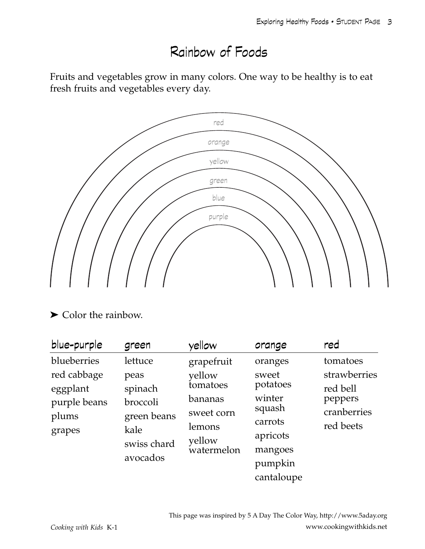# Rainbow of Foods

Fruits and vegetables grow in many colors. One way to be healthy is to eat fresh fruits and vegetables every day.



### ➤ Color the rainbow.

| blue-purple                                                               | green                                                                                    | yellow                                                                                      | orange                                                                                                      | red                                                                         |
|---------------------------------------------------------------------------|------------------------------------------------------------------------------------------|---------------------------------------------------------------------------------------------|-------------------------------------------------------------------------------------------------------------|-----------------------------------------------------------------------------|
| blueberries<br>red cabbage<br>eggplant<br>purple beans<br>plums<br>grapes | lettuce<br>peas<br>spinach<br>broccoli<br>green beans<br>kale<br>swiss chard<br>avocados | grapefruit<br>yellow<br>tomatoes<br>bananas<br>sweet corn<br>lemons<br>yellow<br>watermelon | oranges<br>sweet<br>potatoes<br>winter<br>squash<br>carrots<br>apricots<br>mangoes<br>pumpkin<br>cantaloupe | tomatoes<br>strawberries<br>red bell<br>peppers<br>cranberries<br>red beets |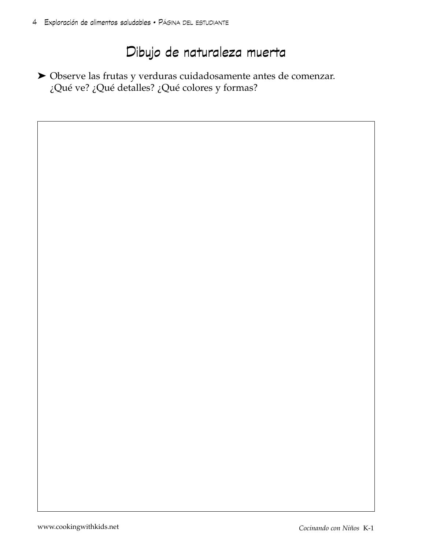## Dibujo de naturaleza muerta

➤ Observe las frutas y verduras cuidadosamente antes de comenzar. ¿Qué ve? ¿Qué detalles? ¿Qué colores y formas?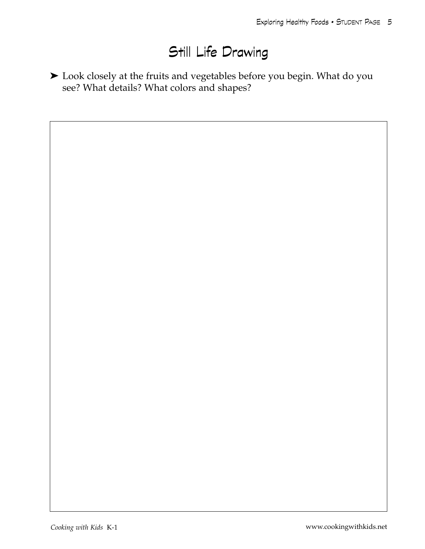# Still Life Drawing

➤ Look closely at the fruits and vegetables before you begin. What do you see? What details? What colors and shapes?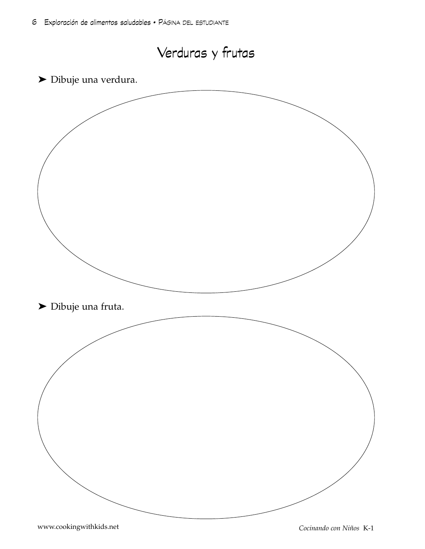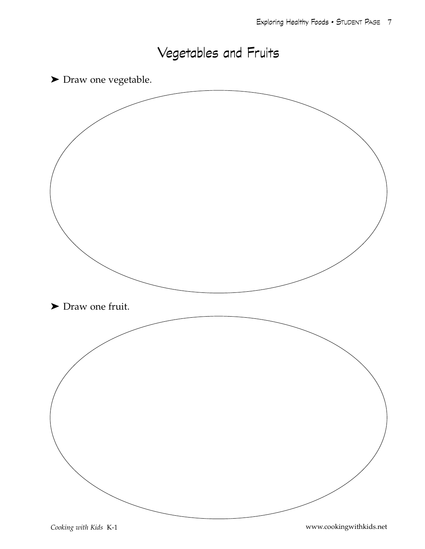